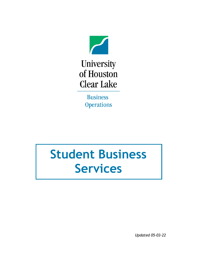

University of Houston **Clear Lake** 

> **Business Operations**

# **Student Business Services**

*Updated 05-03-22*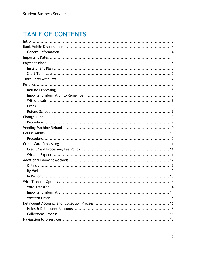# **TABLE OF CONTENTS**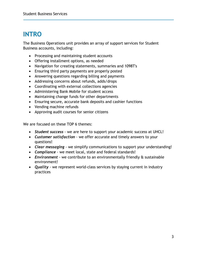# <span id="page-2-0"></span>**INTRO**

The Business Operations unit provides an array of support services for Student Business accounts, including:

- Processing and maintaining student accounts
- Offering installment options, as needed
- Navigation for creating statements, summaries and 1098T's
- Ensuring third party payments are properly posted
- Answering questions regarding billing and payments
- Addressing concerns about refunds, adds/drops
- Coordinating with external collections agencies
- Administering Bank Mobile for student access
- Maintaining change funds for other departments
- Ensuring secure, accurate bank deposits and cashier functions
- Vending machine refunds
- Approving audit courses for senior citizens

We are focused on these TOP 6 themes:

- *Student success* we are here to support your academic success at UHCL!
- *Customer satisfaction* we offer accurate and timely answers to your questions!
- *Clear messaging* we simplify communications to support your understanding!
- *Compliance*  we meet local, state and federal standards!
- *Environment* we contribute to an environmentally friendly & sustainable environment!
- *Quality* we represent world-class services by staying current in industry practices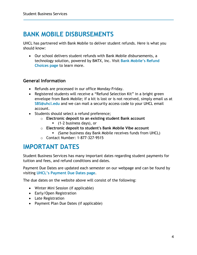### <span id="page-3-0"></span>**BANK MOBILE DISBURSEMENTS**

UHCL has partnered with Bank Mobile to deliver student refunds. Here is what you should know:

• Our school delivers student refunds with Bank Mobile disbursements, a technology solution, powered by BMTX, Inc. Visit **Bank [Mobile's Refund](https://bankmobiledisbursements.com/refundchoices/)  [Choices page](https://bankmobiledisbursements.com/refundchoices/)** to learn more.

#### <span id="page-3-1"></span>**General Information**

- Refunds are processed in our office Monday-Friday.
- Registered students will receive a "Refund Selection Kit" in a bright green envelope from Bank Mobile; if a kit is lost or is not received, simply email us at **[SBS@uhcl.edu](mailto:SBS@uhcl.edu)** and we can mail a security access code to your UHCL email account.
- Students should select a refund preference;
	- o **Electronic deposit to an existing student Bank account**
		- (1-2 business days), or
	- o **Electronic deposit to student's Bank Mobile Vibe account**
		- (Same business day Bank Mobile receives funds from UHCL)
	- o Contact Number: 1-877-327-9515

### <span id="page-3-2"></span>**IMPORTANT DATES**

Student Business Services has many important dates regarding student payments for tuition and fees, and refund conditions and dates.

Payment Due Dates are updated each semester on our webpage and can be found by visiting **[UHCL's Payment Due Dates page](https://www.uhcl.edu/student-business-services/payment-due-dates)**.

The due dates on the website above will consist of the following:

- Winter Mini Session (if applicable)
- Early/Open Registration
- Late Registration
- Payment Plan Due Dates (if applicable)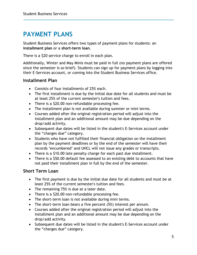# <span id="page-4-0"></span>**PAYMENT PLANS**

Student Business Services offers two types of payment plans for students: an **installment plan** or a **short-term loan**.

There is a \$20 service charge to enroll in each plan.

Additionally, Winter and May Minis must be paid in full (no payment plans are offered since the semester is so brief). Students can sign up for payment plans by logging into their E-Services account, or coming into the Student Business Services office.

### <span id="page-4-1"></span>**Installment Plan**

- Consists of four installments of 25% each.
- The first installment is due by the initial due date for all students and must be at least 25% of the current semester's tuition and fees.
- There is a \$20.00 non-refundable processing fee.
- The installment plan is not available during summer or mini terms.
- Courses added after the original registration period will adjust into the installment plan and an additional amount may be due depending on the drop/add activity.
- Subsequent due dates will be listed in the student's E-Services account under the "charges due" category.
- Students who have not fulfilled their financial obligation on the installment plan by the payment deadlines or by the end of the semester will have their records "encumbered" and UHCL will not issue any grades or transcripts.
- There is a \$10.00 late penalty charge for each past due installment.
- There is a \$50.00 default fee assessed to an existing debt to accounts that have not paid their installment plan in full by the end of the semester.

### <span id="page-4-2"></span>**Short Term Loan**

- The first payment is due by the initial due date for all students and must be at least 25% of the current semester's tuition and fees.
- The remaining 75% is due at a later date.
- There is a \$20.00 non-refundable processing fee.
- The short-term loan is not available during mini terms.
- The short-term loan bears a five percent (5%) interest per annum.
- Courses added after the original registration period will adjust into the installment plan and an additional amount may be due depending on the drop/add activity.
- Subsequent due dates will be listed in the student's E-Services account under the "charges due" category.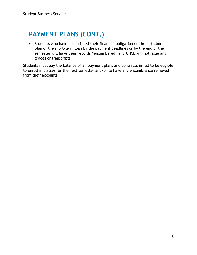# **PAYMENT PLANS (CONT.)**

• Students who have not fulfilled their financial obligation on the installment plan or the short-term loan by the payment deadlines or by the end of the semester will have their records "encumbered" and UHCL will not issue any grades or transcripts.

Students must pay the balance of all payment plans and contracts in full to be eligible to enroll in classes for the next semester and/or to have any encumbrance removed from their accounts.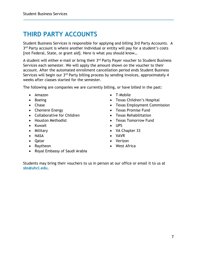### <span id="page-6-0"></span>**THIRD PARTY ACCOUNTS**

Student Business Services is responsible for applying and billing 3rd Party Accounts. A 3<sup>rd</sup> Party account is where another individual or entity will pay for a student's costs [not Federal, State, or grant aid]. Here is what you should know...

A student will either e-mail or bring their 3<sup>rd</sup> Party Payer voucher to Student Business Services each semester. We will apply the amount shown on the voucher to their account. After the automated enrollment cancellation period ends Student Business Services will begin our 3<sup>rd</sup> Party billing process by sending invoices, approximately 4 weeks after classes started for the semester.

The following are companies we are currently billing, or have billed in the past:

- Amazon
- Boeing
- Chase
- Cheniere Energy
- Collaborative for Children
- Houston Methodist
- Kuwait
- Military
- NASA
- Qatar
- Raytheon
- Royal Embassy of Saudi Arabia
- T-Mobile
- Texas Children's Hospital
- Texas Employment Commission
- Texas Promise Fund
- Texas Rehabilitation
- Texas Tomorrow Fund
- UPS
- VA Chapter 33
- VAVR
- Verizon
- West Africa

Students may bring their vouchers to us in person at our office or email it to us at **[sbs@uhcl.edu](mailto:sbs@uhcl.edu)**.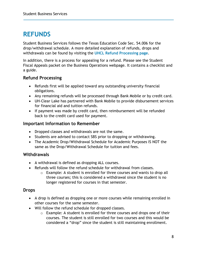### <span id="page-7-0"></span>**REFUNDS**

Student Business Services follows the Texas Education Code Sec. 54.006 for the drop/withdrawal schedule. A more detailed explanation of refunds, drops and withdrawals can be found by visiting the **[UHCL Refund Processing page](https://www.uhcl.edu/student-business-services/refunds/)**.

In addition, there is a process for appealing for a refund. Please see the Student Fiscal Appeals packet on the Business Operations webpage. It contains a checklist and a guide.

### <span id="page-7-1"></span>**Refund Processing**

- Refunds first will be applied toward any outstanding university financial obligations.
- Any remaining refunds will be processed through Bank Mobile or by credit card.
- UH-Clear Lake has partnered with Bank Mobile to provide disbursement services for financial aid and tuition refunds.
- If payment was made by credit card, then reimbursement will be refunded back to the credit card used for payment.

### <span id="page-7-2"></span>**Important Information to Remember**

- Dropped classes and withdrawals are not the same.
- Students are advised to contact SBS prior to dropping or withdrawing.
- The Academic Drop/Withdrawal Schedule for Academic Purposes IS NOT the same as the Drop/Withdrawal Schedule for tuition and fees.

### <span id="page-7-3"></span>**Withdrawals**

- A withdrawal is defined as dropping ALL courses.
- Refunds will follow the refund schedule for withdrawal from classes.
	- o Example: A student is enrolled for three courses and wants to drop all three courses; this is considered a withdrawal since the student is no longer registered for courses in that semester.

### <span id="page-7-4"></span>**Drops**

- A drop is defined as dropping one or more courses while remaining enrolled in other courses for the same semester.
- Will follow the refund schedule for dropped classes.
	- $\circ$  Example: A student is enrolled for three courses and drops one of their courses. The student is still enrolled for two courses and this would be considered a "drop" since the student is still maintaining enrollment.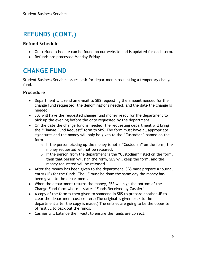# **REFUNDS (CONT.)**

### <span id="page-8-0"></span>**Refund Schedule**

- Our refund schedule can be found on our website and is updated for each term.
- Refunds are processed Monday-Friday

### <span id="page-8-1"></span>**CHANGE FUND**

Student Business Services issues cash for departments requesting a temporary change fund.

### <span id="page-8-2"></span>**Procedure**

- Department will send an e-mail to SBS requesting the amount needed for the change fund requested, the denominations needed, and the date the change is needed.
- SBS will have the requested change fund money ready for the department to pick up the evening before the date requested by the department.
- On the date the change fund is needed, the requesting department will bring the "Change Fund Request" form to SBS. The form must have all appropriate signatures and the money will only be given to the "Custodian" named on the form.
	- $\circ$  If the person picking up the money is not a "Custodian" on the form, the money requested will not be released.
	- $\circ$  If the person from the department is the "Custodian" listed on the form, then that person will sign the form, SBS will keep the form, and the money requested will be released.
- After the money has been given to the department, SBS must prepare a journal entry (JE) for the funds. The JE must be done the same day the money has been given to the department.
- When the department returns the money, SBS will sign the bottom of the Change Fund form where it states "Funds Received by Cashier".
- A copy of the form is then given to someone in SBS to prepare another JE to clear the department cost center. (The original is given back to the department after the copy is made.) The entries are going to be the opposite of first JE to back out the funds.
- Cashier will balance their vault to ensure the funds are correct.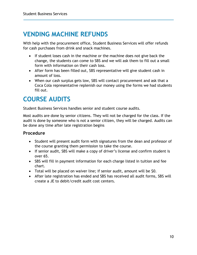# <span id="page-9-0"></span>**VENDING MACHINE REFUNDS**

With help with the procurement office, Student Business Services will offer refunds for cash purchases from drink and snack machines.

- If student loses cash in the machine or the machine does not give back the change, the students can come to SBS and we will ask them to fill out a small form with information on their cash loss.
- After form has been filled out, SBS representative will give student cash in amount of loss.
- When our cash surplus gets low, SBS will contact procurement and ask that a Coca Cola representative replenish our money using the forms we had students fill out.

### <span id="page-9-1"></span>**COURSE AUDITS**

Student Business Services handles senior and student course audits.

Most audits are done by senior citizens. They will not be charged for the class. If the audit is done by someone who is not a senior citizen, they will be charged. Audits can be done any time after late registration begins

### <span id="page-9-2"></span>**Procedure**

- Student will present audit form with signatures from the dean and professor of the course granting them permission to take the course.
- If senior audit, SBS will make a copy of driver's license and confirm student is over 65.
- SBS will fill in payment information for each charge listed in tuition and fee chart.
- Total will be placed on waiver line; if senior audit, amount will be \$0.
- After late registration has ended and SBS has received all audit forms, SBS will create a JE to debit/credit audit cost centers.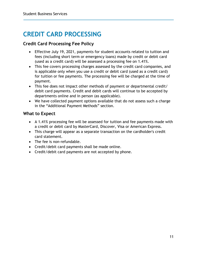# <span id="page-10-0"></span>**CREDIT CARD PROCESSING**

### <span id="page-10-1"></span>**Credit Card Processing Fee Policy**

- Effective July 19, 2021, payments for student accounts related to tuition and fees (including short term or emergency loans) made by credit or debit card (used as a credit card) will be assessed a processing fee on 1.41%.
- This fee covers processing charges assessed by the credit card companies, and is applicable only when you use a credit or debit card (used as a credit card) for tuition or fee payments. The processing fee will be charged at the time of payment.
- This fee does not impact other methods of payment or departmental credit/ debit card payments. Credit and debit cards will continue to be accepted by departments online and in person (as applicable).
- We have collected payment options available that do not assess such a charge in the "Additional Payment Methods" section.

### <span id="page-10-2"></span>**What to Expect**

- A 1.41% processing fee will be assessed for tuition and fee payments made with a credit or debit card by MasterCard, Discover, Visa or American Express.
- This charge will appear as a separate transaction on the cardholder's credit card statement.
- The fee is non-refundable.
- Credit/debit card payments shall be made online.
- Credit/debit card payments are not accepted by phone.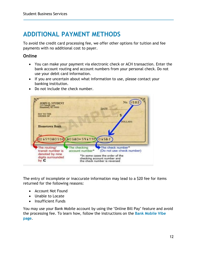### <span id="page-11-0"></span>**ADDITIONAL PAYMENT METHODS**

To avoid the credit card processing fee, we offer other options for tuition and fee payments with no additional cost to payer.

#### <span id="page-11-1"></span>**Online**

- You can make your payment via electronic check or ACH transaction. Enter the bank account routing and account numbers from your personal check. Do not use your debit card information.
- If you are uncertain about what information to use, please contact your banking institution.
- Do not include the check number.



The entry of incomplete or inaccurate information may lead to a \$20 fee for items returned for the following reasons:

- Account Not Found
- Unable to Locate
- Insufficient Funds

You may use your Bank Mobile account by using the "Online Bill Pay" feature and avoid the processing fee. To learn how, follow the instructions on the **[Bank Mobile Vibe](file://uhcl_Marketing/marketing/_Projects/2022/Business%20Operations/You%20may%20use%20your%20BankMobile%20account%20by%20using%20the%20%22Online%20Bill%20Pay%22%20feature%20and%20avoid%20the%20processing%20fee.%20To%20learn%20how,%20follow%20these%20instructions.)  [page](file://uhcl_Marketing/marketing/_Projects/2022/Business%20Operations/You%20may%20use%20your%20BankMobile%20account%20by%20using%20the%20%22Online%20Bill%20Pay%22%20feature%20and%20avoid%20the%20processing%20fee.%20To%20learn%20how,%20follow%20these%20instructions.)**.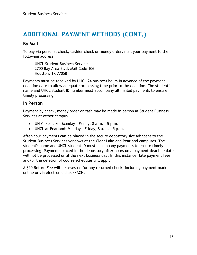### **ADDITIONAL PAYMENT METHODS (CONT.)**

### <span id="page-12-0"></span>**By Mail**

To pay via personal check, cashier check or money order, mail your payment to the following address:

UHCL Student Business Services 2700 Bay Area Blvd, Mail Code 106 Houston, TX 77058

Payments must be received by UHCL 24 business hours in advance of the payment deadline date to allow adequate processing time prior to the deadline. The student's name and UHCL student ID number must accompany all mailed payments to ensure timely processing.

#### <span id="page-12-1"></span>**In Person**

Payment by check, money order or cash may be made in person at Student Business Services at either campus.

- UH-Clear Lake: Monday Friday, 8 a.m. 5 p.m.
- UHCL at Pearland: Monday Friday, 8 a.m. 5 p.m.

After-hour payments can be placed in the secure depository slot adjacent to the Student Business Services windows at the Clear Lake and Pearland campuses. The student's name and UHCL student ID must accompany payments to ensure timely processing. Payments placed in the depository after hours on a payment deadline date will not be processed until the next business day. In this instance, late payment fees and/or the deletion of course schedules will apply.

A \$20 Return Fee will be assessed for any returned check, including payment made online or via electronic check/ACH.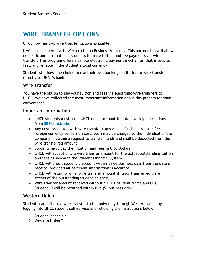### <span id="page-13-0"></span>**WIRE TRANSFER OPTIONS**

UHCL now has two wire transfer options available.

UHCL has partnered with Western Union Business Solutions! This partnership will allow domestic and international students to make tuition and fee payments via wire transfer. This program offers a simple electronic payment mechanism that is secure, fast, and reliable in the student's local currency.

Students still have the choice to use their own banking institution to wire transfer directly to UHCL's bank.

### <span id="page-13-1"></span>**Wire Transfer**

You have the option to pay your tuition and fees via electronic wire transfers to UHCL. We have collected the most important information about this process for your convenience.

#### <span id="page-13-2"></span>**Important Information**

- UHCL students must use a UHCL email account to obtain wiring instructions from **[SBS@uhcl.edu](mailto:SBS@uhcl.edu)**.
- Any cost associated with wire transfer transactions (such as transfer fees, foreign currency conversion cost, etc.) may be charged to the individual or the company initiating a request to transfer funds and shall be deducted from the wire transferred amount.
- Students must pay their tuition and fees in U.S. Dollars.
- UHCL will accept only a wire transfer amount for the actual outstanding tuition and fees as shown in the Student Financial System.
- UHCL will credit student's account within three business days from the date of receipt, provided all pertinent information is accurate.
- UHCL will return original wire transfer amount if funds transferred were in excess of the outstanding student balance.
- Wire transfer amount received without a UHCL Student Name and UHCL Student ID will be returned within five (5) business days.

### <span id="page-13-3"></span>**Western Union**

Students can initiate a wire transfer to the university through Western Union by logging into UHCL student self-service and following the instructions below:

- 1. Student Financials
- 2. Western Union Tab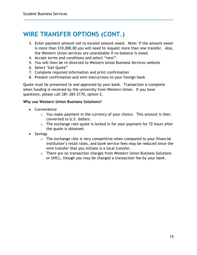### **WIRE TRANSFER OPTIONS (CONT.)**

- 3. Enter payment amount not to exceed amount owed. Note: If the amount owed is more than \$10,000.00 you will need to request more than one transfer. Also, the Western Union services are unavailable if no balance is owed.
- 4. Accept terms and conditions and select "next".
- 5. You will then be re-directed to Western Union Business Services website
- 6. Select 'Get Quote"
- 7. Complete required information and print confirmation
- 8. Present confirmation and wire instructions to your foreign bank

Quote must be presented to and approved by your bank. Transaction is complete when funding is received by the university from Western Union. If you have questions, please call 281-283-2170, option 2.

#### **Why use Western Union Business Solutions?**

- Convenience
	- $\circ$  You make payment in the currency of your choice. This amount is then converted to U.S. dollars.
	- $\circ$  The exchange rate quote is locked in for your payment for 72 hours after the quote is obtained.
- Savings
	- o The exchange rate is very competitive when compared to your financial institution's retail rates, and bank service fees may be reduced since the wire transfer that you initiate is a local transfer.
	- o There are no transaction charges from Western Union Business Solutions or UHCL, though you may be charged a transaction fee by your bank.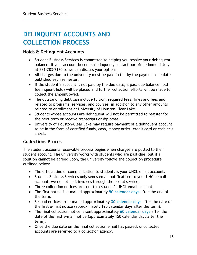# <span id="page-15-0"></span>**DELINQUENT ACCOUNTS AND COLLECTION PROCESS**

#### <span id="page-15-1"></span>**Holds & Delinquent Accounts**

- Student Business Services is committed to helping you resolve your delinquent balance. If your account becomes delinquent, contact our office immediately at 281-283-2170 so we can discuss your options.
- All charges due to the university must be paid in full by the payment due date published each semester.
- If the student's account is not paid by the due date, a past due balance hold (delinquent hold) will be placed and further collection efforts will be made to collect the amount owed.
- The outstanding debt can include tuition, required fees, fines and fees and related to programs, services, and courses, in addition to any other amounts related to enrollment at University of Houston-Clear Lake.
- Students whose accounts are delinquent will not be permitted to register for the next term or receive transcripts or diplomas.
- University of Houston-Clear Lake may require payment of a delinquent account to be in the form of certified funds, cash, money order, credit card or cashier's check.

### <span id="page-15-2"></span>**Collections Process**

The student accounts receivable process begins when charges are posted to their student account. The university works with students who are past-due, but if a solution cannot be agreed upon, the university follows the collection procedure outlined below:

- The official line of communication to students is your UHCL email account.
- Student Business Services only sends email notifications to your UHCL email account, we do not mail invoices through the postal service.
- Three collection notices are sent to a student's UHCL email account.
- The first notice is e-mailed approximately **90 calendar days** after the end of the term.
- Second notices are e-mailed approximately **30 calendar days** after the date of the first e-mail notice (approximately 120 calendar days after the term).
- The final collection notice is sent approximately **60 calendar days** after the date of the first e-mail notice (approximately 150 calendar days after the term).
- Once the due date on the final collection email has passed, uncollected accounts are referred to a collection agency.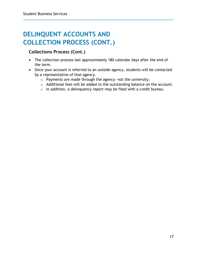# **DELINQUENT ACCOUNTS AND COLLECTION PROCESS (CONT.)**

### **Collections Process (Cont.)**

- The collection process last approximately 180 calendar days after the end of the term.
- Once your account is referred to an outside agency, students will be contacted by a representative of that agency.
	- o Payments are made through the agency—not the university.
	- o Additional fees will be added to the outstanding balance on the account.
	- o In addition, a delinquency report may be filed with a credit bureau.